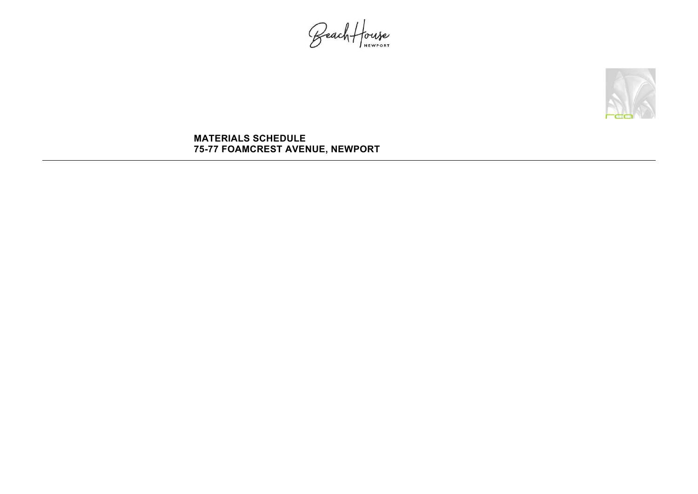Beach House

## **MATERIALS SCHEDULE 75-77 FOAMCREST AVENUE, NEWPORT**

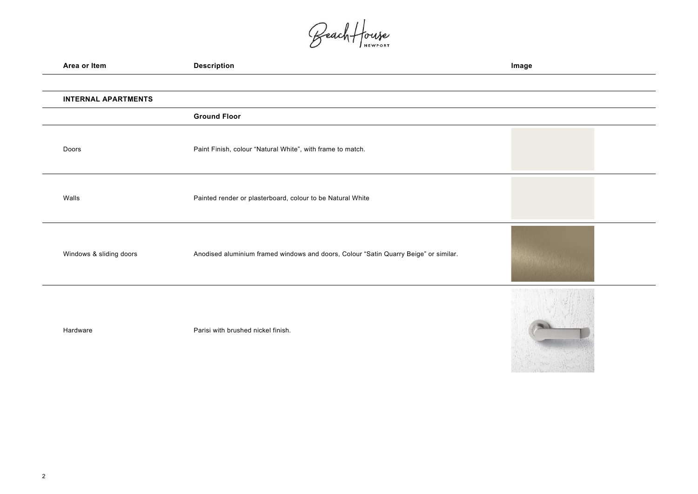Beach House

| Area or Item               | <b>Description</b>                                                                   | Image |
|----------------------------|--------------------------------------------------------------------------------------|-------|
|                            |                                                                                      |       |
| <b>INTERNAL APARTMENTS</b> |                                                                                      |       |
|                            | <b>Ground Floor</b>                                                                  |       |
| Doors                      | Paint Finish, colour "Natural White", with frame to match.                           |       |
| Walls                      | Painted render or plasterboard, colour to be Natural White                           |       |
| Windows & sliding doors    | Anodised aluminium framed windows and doors, Colour "Satin Quarry Beige" or similar. |       |
| Hardware                   | Parisi with brushed nickel finish.                                                   |       |

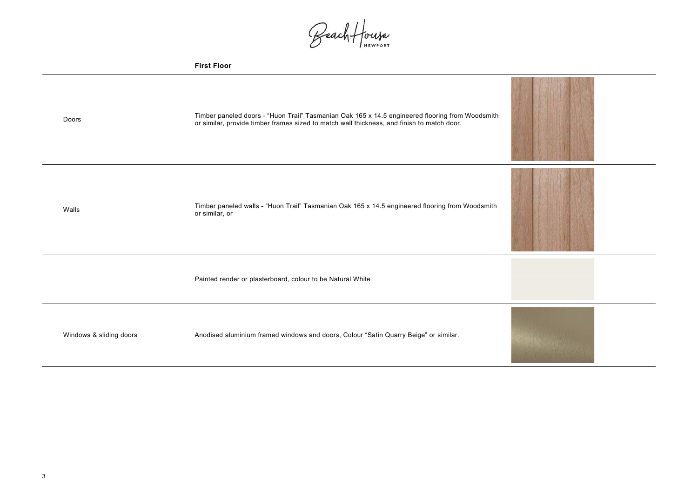

Beach House

|                         | <b>First Floor</b>                                                                                                                                                                            |
|-------------------------|-----------------------------------------------------------------------------------------------------------------------------------------------------------------------------------------------|
| Doors                   | Timber paneled doors - "Huon Trail" Tasmanian Oak 165 x 14.5 engineered flooring from Woodsmith<br>or similar, provide timber frames sized to match wall thickness, and finish to match door. |
| Walls                   | Timber paneled walls - "Huon Trail" Tasmanian Oak 165 x 14.5 engineered flooring from Woodsmith<br>or similar, or                                                                             |
|                         | Painted render or plasterboard, colour to be Natural White                                                                                                                                    |
| Windows & sliding doors | Anodised aluminium framed windows and doors, Colour "Satin Quarry Beige" or similar.                                                                                                          |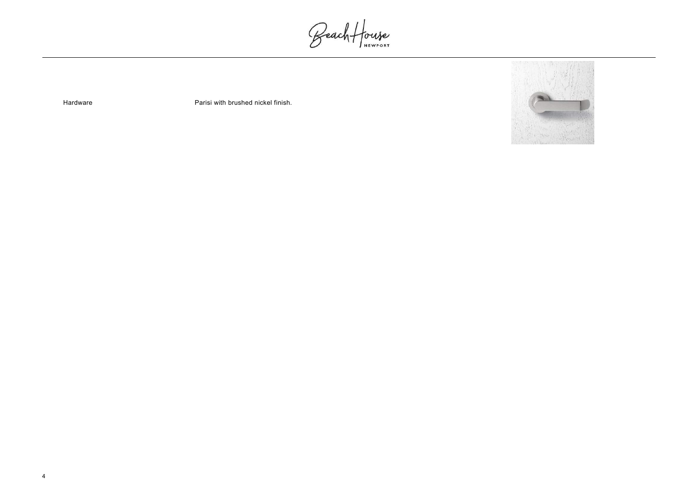Beach House

Hardware **Parisi with brushed nickel finish.** 

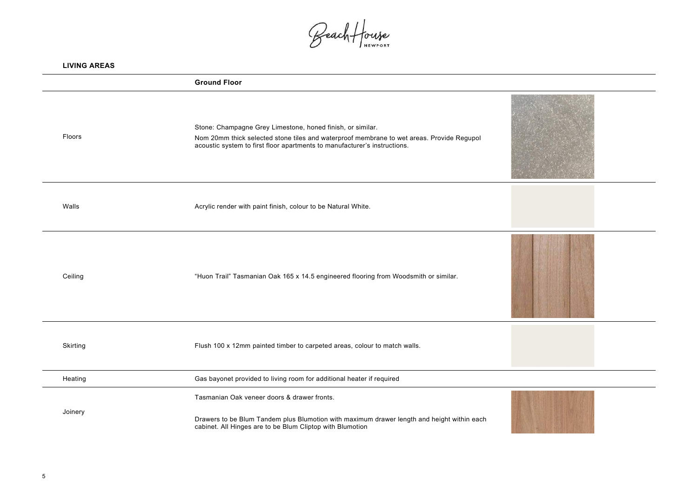



Beach House

| <b>LIVING AREAS</b> |                                                                                                                                                                                                                                      |  |
|---------------------|--------------------------------------------------------------------------------------------------------------------------------------------------------------------------------------------------------------------------------------|--|
|                     | <b>Ground Floor</b>                                                                                                                                                                                                                  |  |
| Floors              | Stone: Champagne Grey Limestone, honed finish, or similar.<br>Nom 20mm thick selected stone tiles and waterproof membrane to wet areas. Provide Regupol<br>acoustic system to first floor apartments to manufacturer's instructions. |  |
| Walls               | Acrylic render with paint finish, colour to be Natural White.                                                                                                                                                                        |  |
| Ceiling             | "Huon Trail" Tasmanian Oak 165 x 14.5 engineered flooring from Woodsmith or similar.                                                                                                                                                 |  |
| <b>Skirting</b>     | Flush 100 x 12mm painted timber to carpeted areas, colour to match walls.                                                                                                                                                            |  |
| Heating             | Gas bayonet provided to living room for additional heater if required                                                                                                                                                                |  |
| Joinery             | Tasmanian Oak veneer doors & drawer fronts.<br>Drawers to be Blum Tandem plus Blumotion with maximum drawer length and height within each<br>cabinet. All Hinges are to be Blum Cliptop with Blumotion                               |  |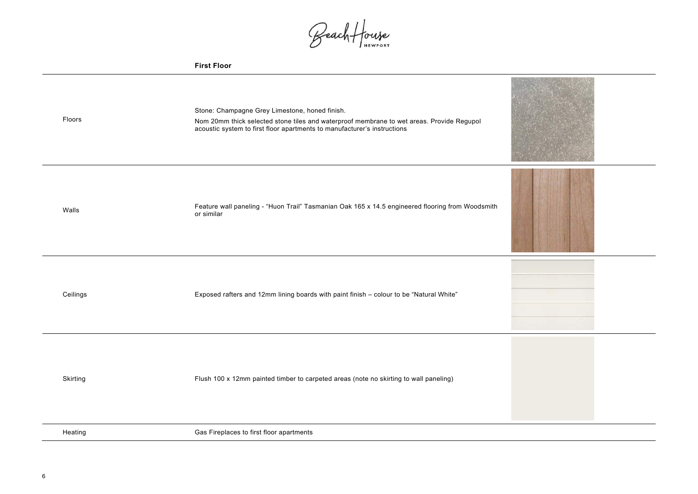Beach House

|  | First Floor |
|--|-------------|
|--|-------------|

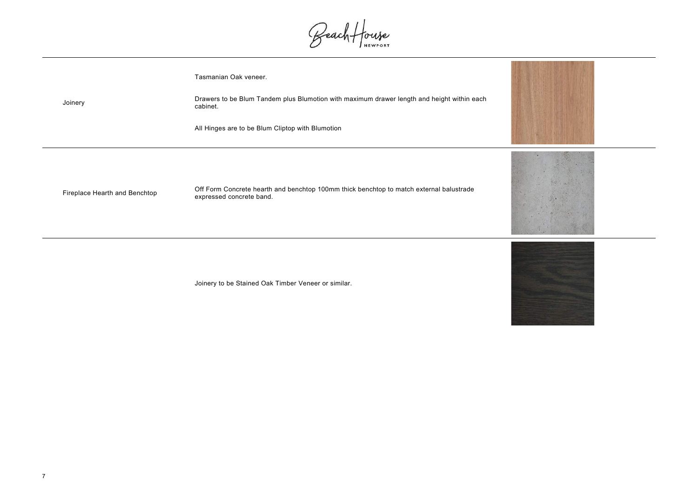Joinery

Beach House

Tasmanian Oak veneer.

Drawers to be Blum Tandem plus Blumotion with maximum drawer length and height within each cabinet.

All Hinges are to be Blum Cliptop with Blumotion

Fireplace Hearth and Benchtop Off Form Concrete hearth and benchtop 100mm thick benchtop to match external balustrade<br>expressed concrete band.

Joinery to be Stained Oak Timber Veneer or similar.

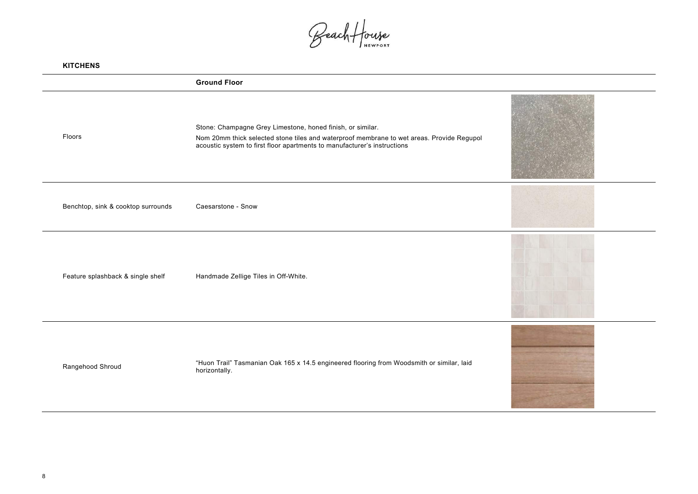

Beach House

| <b>KITCHENS</b>                    |                                                                                                                                                                                                                                     |     |
|------------------------------------|-------------------------------------------------------------------------------------------------------------------------------------------------------------------------------------------------------------------------------------|-----|
|                                    | <b>Ground Floor</b>                                                                                                                                                                                                                 |     |
| Floors                             | Stone: Champagne Grey Limestone, honed finish, or similar.<br>Nom 20mm thick selected stone tiles and waterproof membrane to wet areas. Provide Regupol<br>acoustic system to first floor apartments to manufacturer's instructions |     |
| Benchtop, sink & cooktop surrounds | Caesarstone - Snow                                                                                                                                                                                                                  |     |
| Feature splashback & single shelf  | Handmade Zellige Tiles in Off-White.                                                                                                                                                                                                |     |
| Rangehood Shroud                   | "Huon Trail" Tasmanian Oak 165 x 14.5 engineered flooring from Woodsmith or similar, laid<br>horizontally.                                                                                                                          | us, |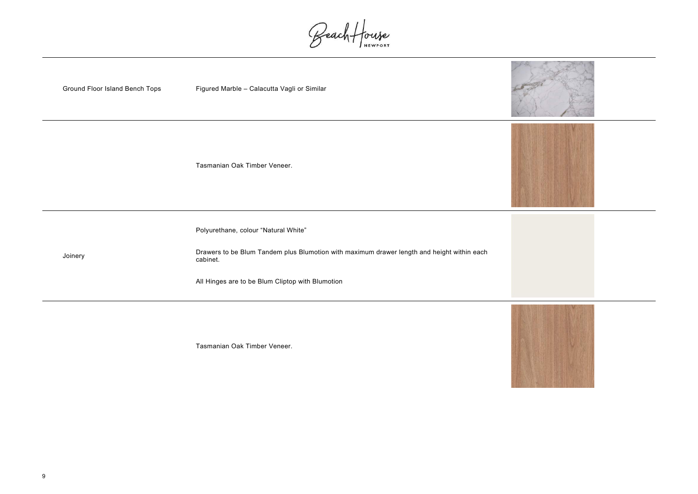

Beach House



Tasmanian Oak Timber Veneer.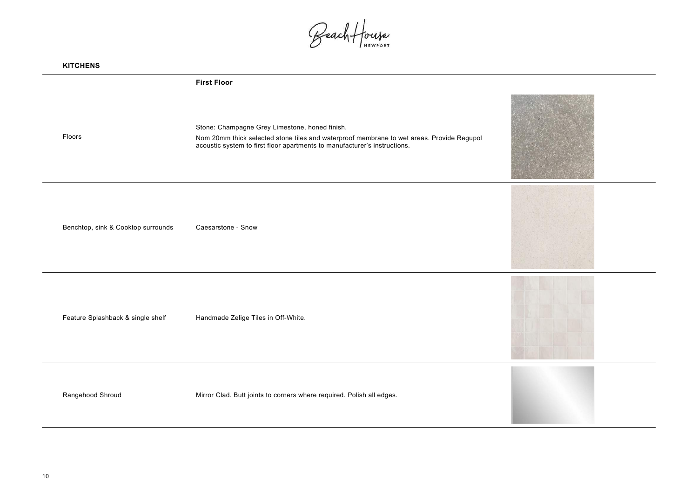

Beach House

| <b>KITCHENS</b>                    |                                                                                                                                                                                                                          |  |
|------------------------------------|--------------------------------------------------------------------------------------------------------------------------------------------------------------------------------------------------------------------------|--|
|                                    | <b>First Floor</b>                                                                                                                                                                                                       |  |
| Floors                             | Stone: Champagne Grey Limestone, honed finish.<br>Nom 20mm thick selected stone tiles and waterproof membrane to wet areas. Provide Regupol<br>acoustic system to first floor apartments to manufacturer's instructions. |  |
| Benchtop, sink & Cooktop surrounds | Caesarstone - Snow                                                                                                                                                                                                       |  |
| Feature Splashback & single shelf  | Handmade Zelige Tiles in Off-White.                                                                                                                                                                                      |  |
| Rangehood Shroud                   | Mirror Clad. Butt joints to corners where required. Polish all edges.                                                                                                                                                    |  |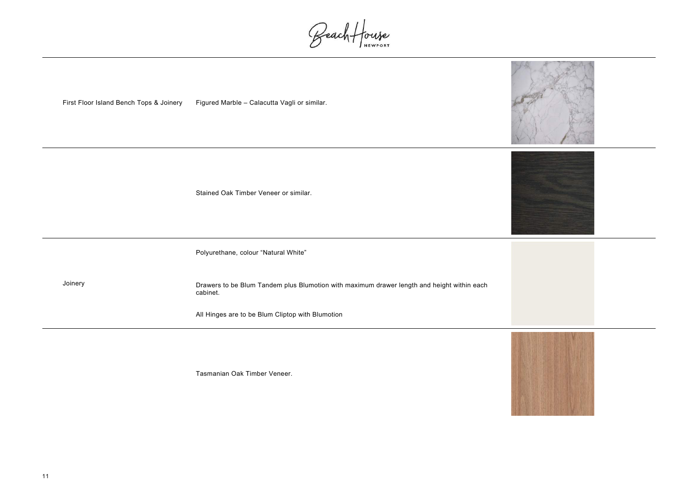

Beach House

First Floor Island Bench Tops & Joinery Figured Marble – Calacutta Vagli or similar.

Stained Oak Timber Veneer or similar.

Joinery

Polyurethane, colour "Natural White"

Drawers to be Blum Tandem plus Blumotion with maximum drawer length and height within each cabinet.

All Hinges are to be Blum Cliptop with Blumotion

Tasmanian Oak Timber Veneer.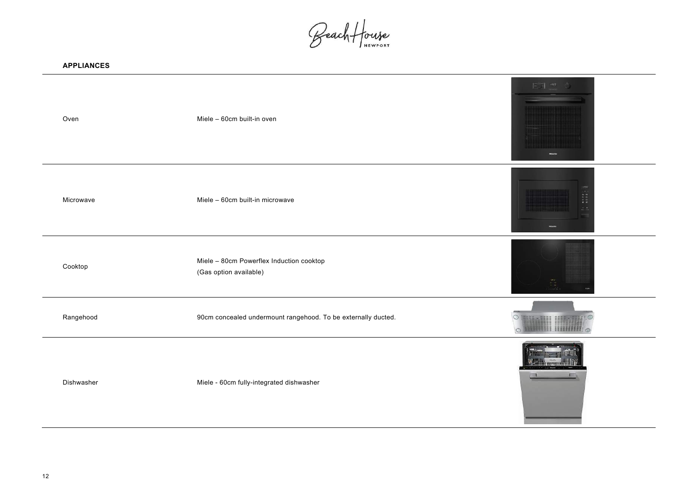

Beach House

| <b>APPLIANCES</b> |                                                                    |                    |
|-------------------|--------------------------------------------------------------------|--------------------|
| Oven              | Miele - 60cm built-in oven                                         |                    |
| Microwave         | Miele - 60cm built-in microwave                                    |                    |
| Cooktop           | Miele - 80cm Powerflex Induction cooktop<br>(Gas option available) |                    |
| Rangehood         | 90cm concealed undermount rangehood. To be externally ducted.      | $\circ$<br>$\circ$ |
| Dishwasher        | Miele - 60cm fully-integrated dishwasher                           |                    |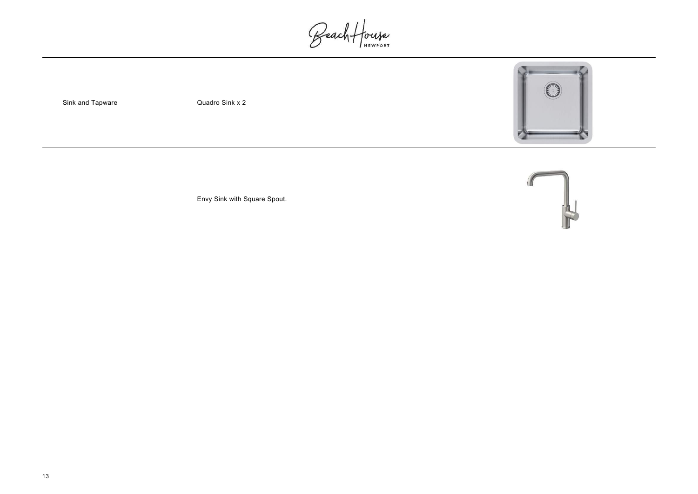Beach House

Sink and Tapware

Quadro Sink x 2







Envy Sink with Square Spout.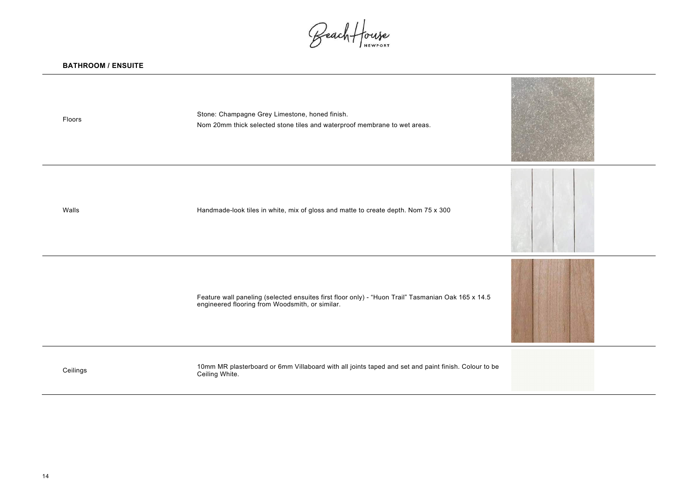

Beach House

Floors Stone: Champagne Grey Limestone, honed finish. Nom 20mm thick selected stone tiles and waterproof membrane to wet areas.

Walls Walls **Handmade-look tiles in white, mix of gloss and matte to create depth. Nom 75 x 300** 

Feature wall paneling (selected ensuites first floor only) - "Huon Trail" Tasmanian Oak 165 x 14.5 engineered flooring from Woodsmith, or similar.

Ceilings 10mm MR plasterboard or 6mm Villaboard with all joints taped and set and paint finish. Colour to be Ceiling White.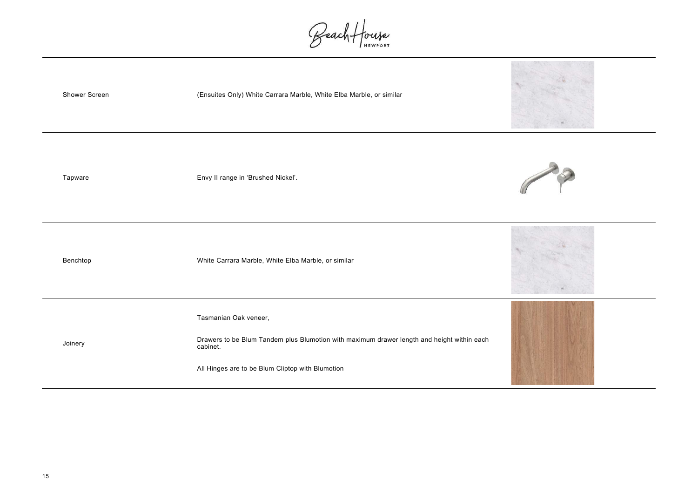Beach House

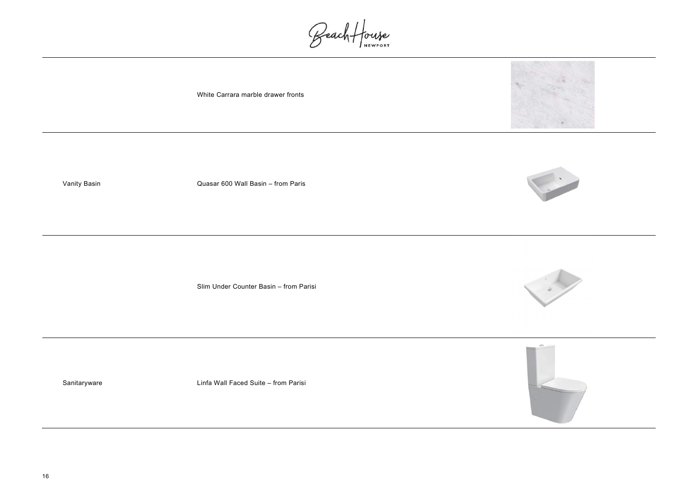







Beach House

White Carrara marble drawer fronts

Vanity Basin Quasar 600 Wall Basin – from Paris

Slim Under Counter Basin – from Parisi

Sanitaryware **Linfa Wall Faced Suite – from Parisi**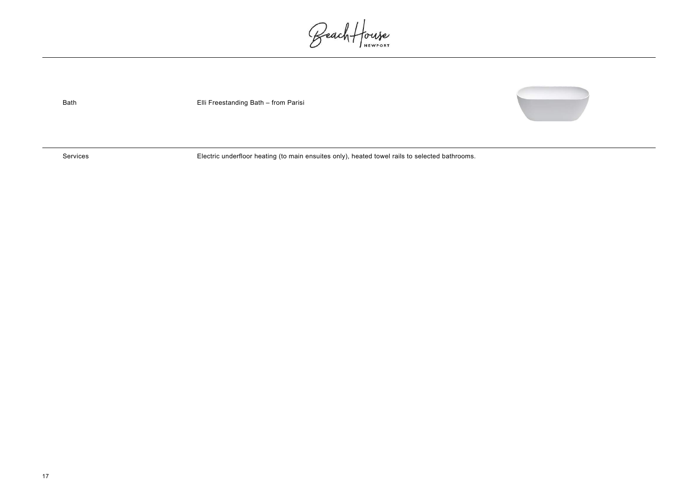

Beach House

Bath Elli Freestanding Bath – from Parisi

Services Electric underfloor heating (to main ensuites only), heated towel rails to selected bathrooms.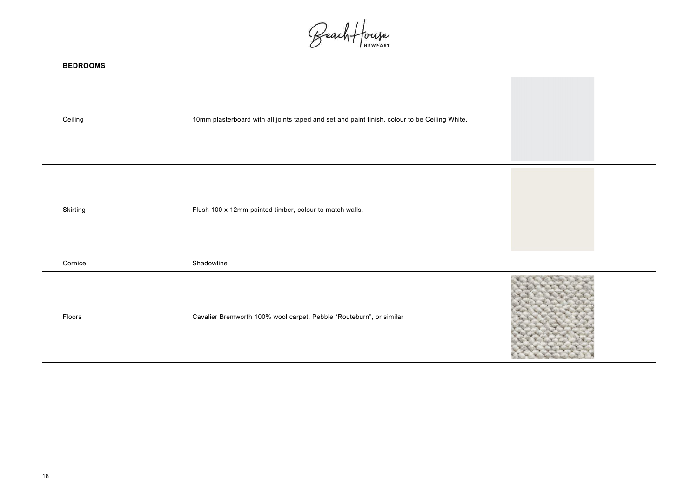Beach House

| <b>BEDROOMS</b> |                                                                                               |
|-----------------|-----------------------------------------------------------------------------------------------|
| Ceiling         | 10mm plasterboard with all joints taped and set and paint finish, colour to be Ceiling White. |
| <b>Skirting</b> | Flush 100 x 12mm painted timber, colour to match walls.                                       |
| Cornice         | Shadowline                                                                                    |
| Floors          | <b>COMPANY</b><br>Cavalier Bremworth 100% wool carpet, Pebble "Routeburn", or similar         |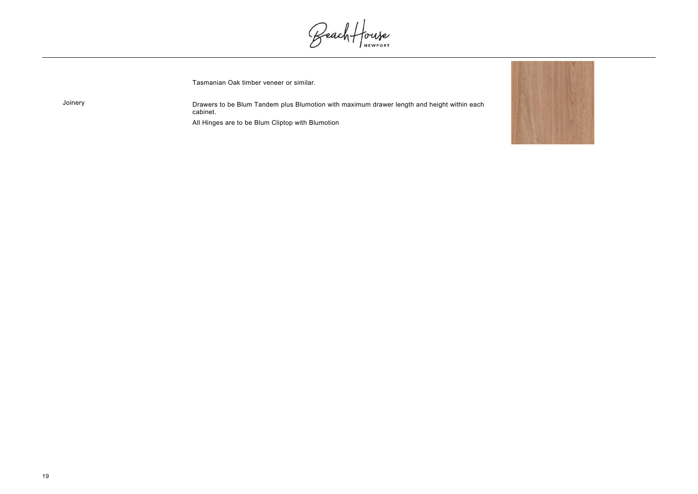

Joinery

Beach House

Tasmanian Oak timber veneer or similar.

Drawers to be Blum Tandem plus Blumotion with maximum drawer length and height within each cabinet.

All Hinges are to be Blum Cliptop with Blumotion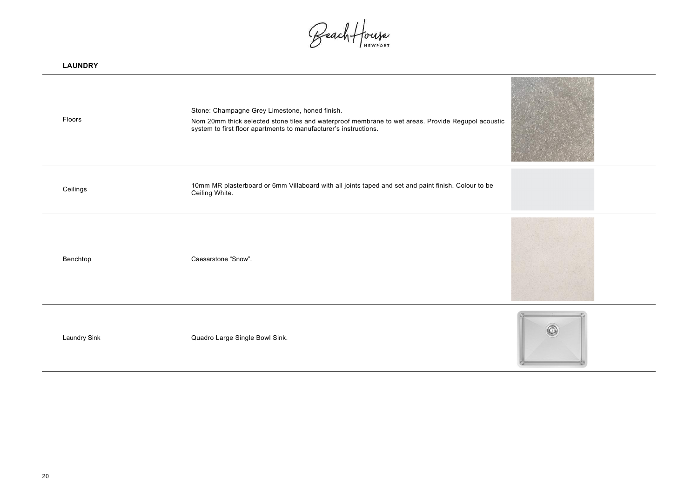

Beach House

| <b>LAUNDRY</b>      |                                                                                                                                                                                                                          |  |
|---------------------|--------------------------------------------------------------------------------------------------------------------------------------------------------------------------------------------------------------------------|--|
| Floors              | Stone: Champagne Grey Limestone, honed finish.<br>Nom 20mm thick selected stone tiles and waterproof membrane to wet areas. Provide Regupol acoustic<br>system to first floor apartments to manufacturer's instructions. |  |
| Ceilings            | 10mm MR plasterboard or 6mm Villaboard with all joints taped and set and paint finish. Colour to be<br>Ceiling White.                                                                                                    |  |
| Benchtop            | Caesarstone "Snow".                                                                                                                                                                                                      |  |
| <b>Laundry Sink</b> | Quadro Large Single Bowl Sink.                                                                                                                                                                                           |  |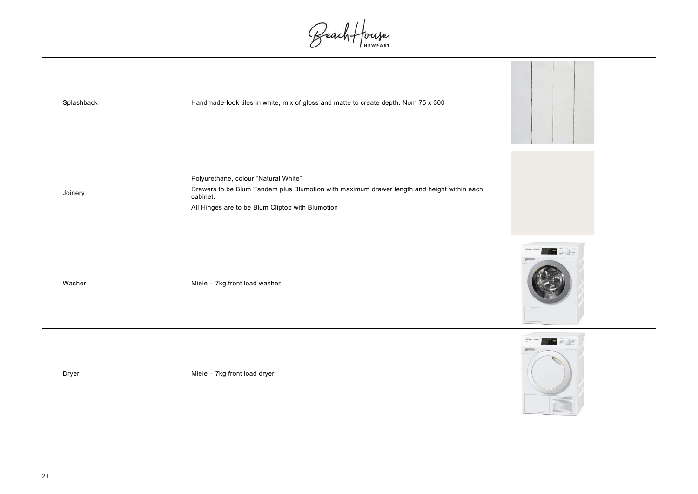

Beach House



Dryer **Miele – 7kg front load dryer** Miele – 7kg front load dryer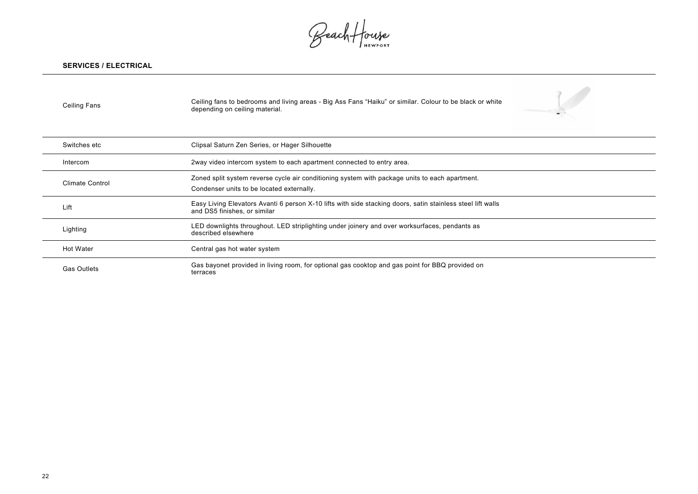

Beach House

## **SERVICES / ELECTRICAL**

| <b>Ceiling Fans</b>    | Ceiling fans to bedrooms and living areas - Big Ass Fans "Haiku" or similar. Colour to be black or white<br>depending on ceiling material.  |
|------------------------|---------------------------------------------------------------------------------------------------------------------------------------------|
| Switches etc           | Clipsal Saturn Zen Series, or Hager Silhouette                                                                                              |
| Intercom               | 2way video intercom system to each apartment connected to entry area.                                                                       |
| <b>Climate Control</b> | Zoned split system reverse cycle air conditioning system with package units to each apartment.<br>Condenser units to be located externally. |
| Lift                   | Easy Living Elevators Avanti 6 person X-10 lifts with side stacking doors, satin stainless steel lift walls<br>and DS5 finishes, or similar |
| Lighting               | LED downlights throughout. LED striplighting under joinery and over worksurfaces, pendants as<br>described elsewhere                        |
| <b>Hot Water</b>       | Central gas hot water system                                                                                                                |
| <b>Gas Outlets</b>     | Gas bayonet provided in living room, for optional gas cooktop and gas point for BBQ provided on<br>terraces                                 |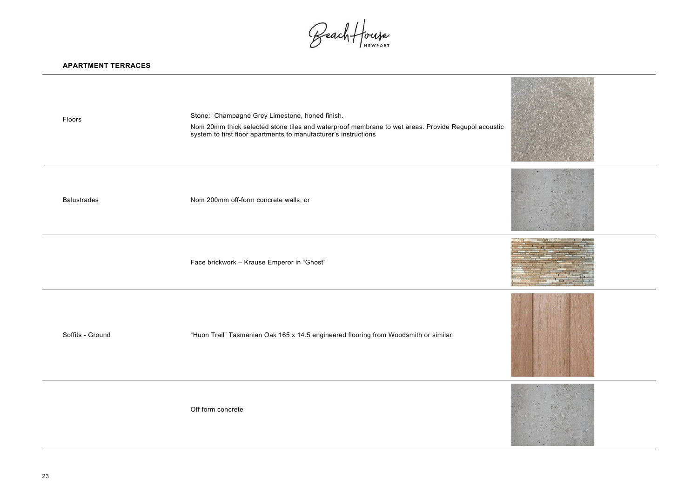Beach House

## **APARTMENT TERRACES**

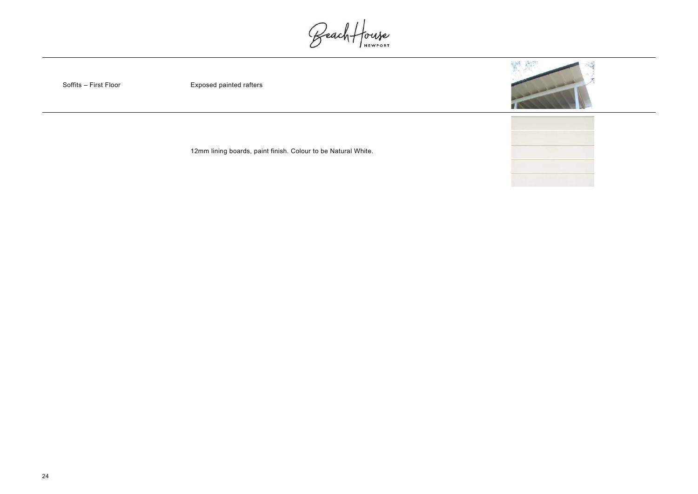24





Beach House

Soffits – First Floor

Exposed painted rafters

12mm lining boards, paint finish. Colour to be Natural White.

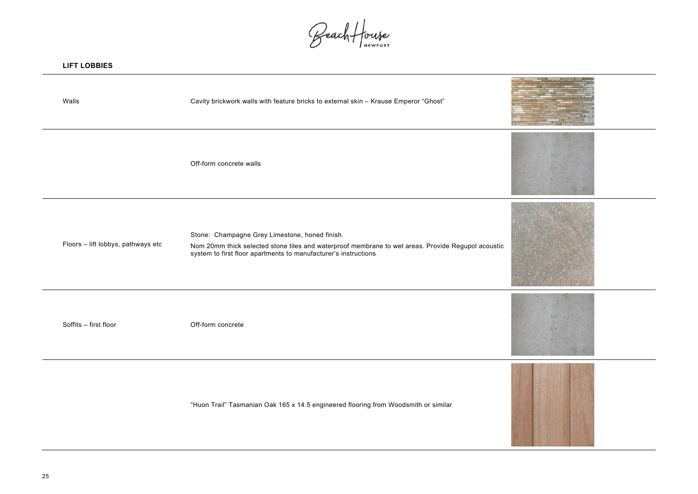**LIFT LOBBIES**



Beach House

| LILI LORRIES                       |                                                                                                                                                                                                                         |  |
|------------------------------------|-------------------------------------------------------------------------------------------------------------------------------------------------------------------------------------------------------------------------|--|
| Walls                              | Cavity brickwork walls with feature bricks to external skin - Krause Emperor "Ghost"                                                                                                                                    |  |
|                                    | Off-form concrete walls                                                                                                                                                                                                 |  |
| Floors - lift lobbys, pathways etc | Stone: Champagne Grey Limestone, honed finish.<br>Nom 20mm thick selected stone tiles and waterproof membrane to wet areas. Provide Regupol acoustic<br>system to first floor apartments to manufacturer's instructions |  |
| Soffits - first floor              | Off-form concrete                                                                                                                                                                                                       |  |

"Huon Trail" Tasmanian Oak 165 x 14.5 engineered flooring from Woodsmith or similar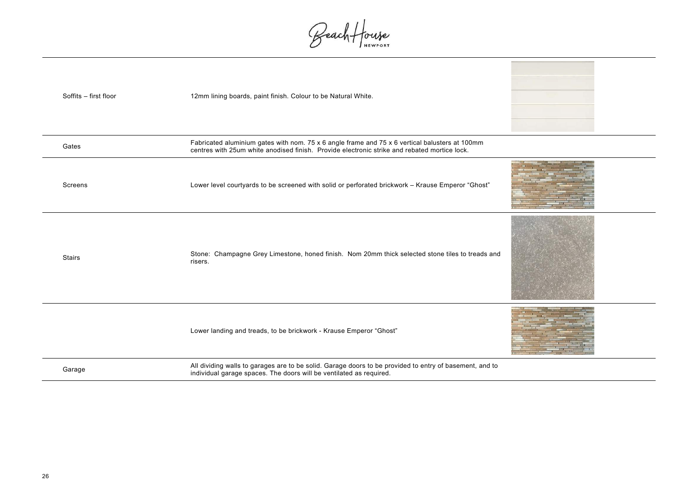

Beach House

| Soffits - first floor | 12mm lining boards, paint finish. Colour to be Natural White.                                                                                                                                  |
|-----------------------|------------------------------------------------------------------------------------------------------------------------------------------------------------------------------------------------|
|                       |                                                                                                                                                                                                |
| Gates                 | Fabricated aluminium gates with nom. 75 x 6 angle frame and 75 x 6 vertical balusters at 100mm<br>centres with 25um white anodised finish. Provide electronic strike and rebated mortice lock. |
| <b>Screens</b>        | Lower level courtyards to be screened with solid or perforated brickwork - Krause Emperor "Ghost"                                                                                              |
| <b>Stairs</b>         | Stone: Champagne Grey Limestone, honed finish. Nom 20mm thick selected stone tiles to treads and<br>risers.                                                                                    |
|                       | Lower landing and treads, to be brickwork - Krause Emperor "Ghost"                                                                                                                             |
| Garage                | All dividing walls to garages are to be solid. Garage doors to be provided to entry of basement, and to<br>individual garage spaces. The doors will be ventilated as required.                 |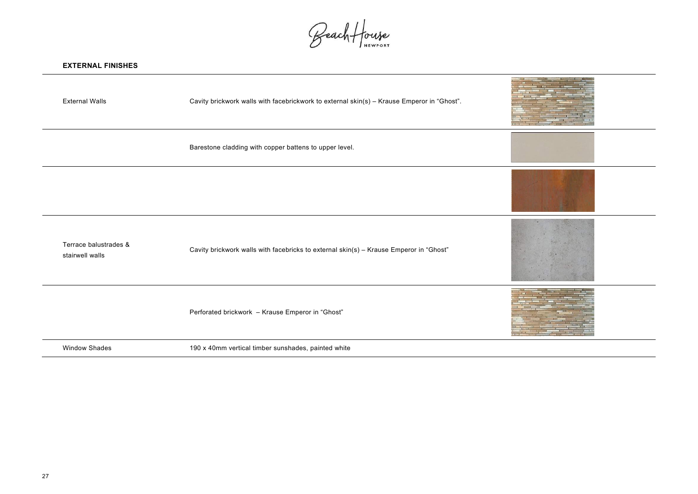Beach House

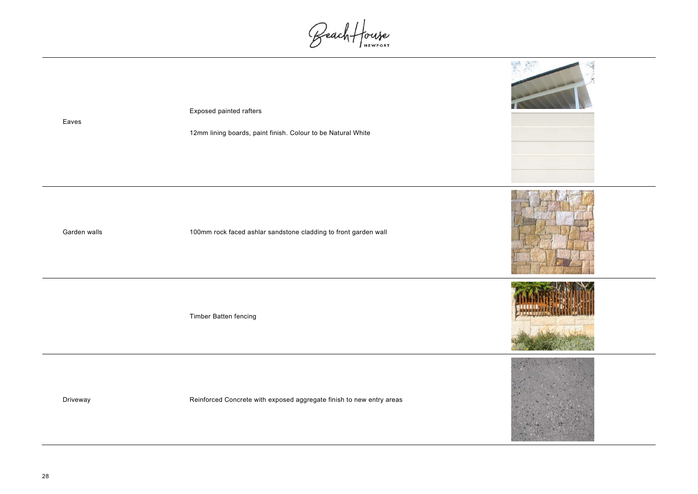Eaves

Beach House



12mm lining boards, paint finish. Colour to be Natural White

Garden walls 100mm rock faced ashlar sandstone cladding to front garden wall

Timber Batten fencing

Driveway **Example 20** Reinforced Concrete with exposed aggregate finish to new entry areas